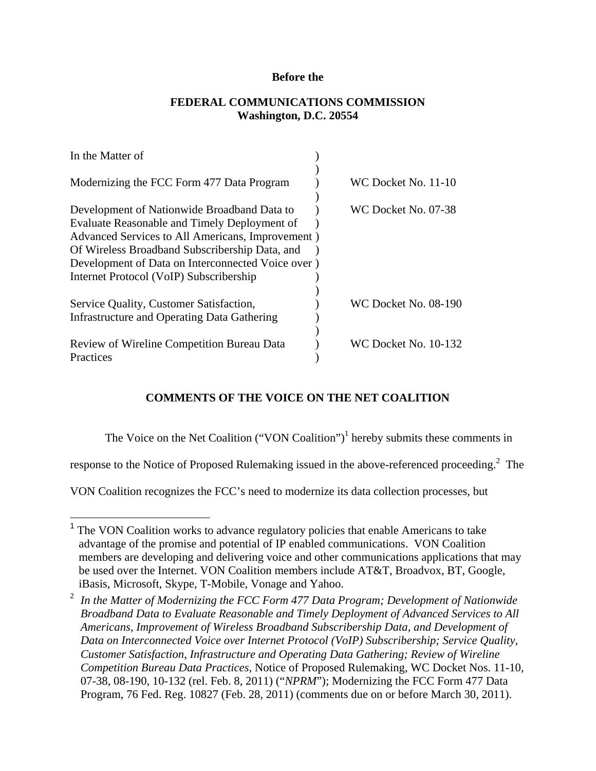### **Before the**

## **FEDERAL COMMUNICATIONS COMMISSION Washington, D.C. 20554**

| In the Matter of                                                                                 |                             |
|--------------------------------------------------------------------------------------------------|-----------------------------|
| Modernizing the FCC Form 477 Data Program                                                        | WC Docket No. 11-10         |
| Development of Nationwide Broadband Data to                                                      | WC Docket No. 07-38         |
| Evaluate Reasonable and Timely Deployment of<br>Advanced Services to All Americans, Improvement) |                             |
| Of Wireless Broadband Subscribership Data, and                                                   |                             |
| Development of Data on Interconnected Voice over)                                                |                             |
| Internet Protocol (VoIP) Subscribership                                                          |                             |
|                                                                                                  |                             |
| Service Quality, Customer Satisfaction,                                                          | <b>WC Docket No. 08-190</b> |
| Infrastructure and Operating Data Gathering                                                      |                             |
|                                                                                                  |                             |
| Review of Wireline Competition Bureau Data                                                       | WC Docket No. 10-132        |
| Practices                                                                                        |                             |

## **COMMENTS OF THE VOICE ON THE NET COALITION**

The Voice on the Net Coalition  $("VON\,$ Coalition" $)^1$  hereby submits these comments in

response to the Notice of Proposed Rulemaking issued in the above-referenced proceeding.<sup>2</sup> The

VON Coalition recognizes the FCC's need to modernize its data collection processes, but

1

<sup>&</sup>lt;sup>1</sup> The VON Coalition works to advance regulatory policies that enable Americans to take advantage of the promise and potential of IP enabled communications. VON Coalition members are developing and delivering voice and other communications applications that may be used over the Internet. VON Coalition members include AT&T, Broadvox, BT, Google, iBasis, Microsoft, Skype, T-Mobile, Vonage and Yahoo.

<sup>2</sup> *In the Matter of Modernizing the FCC Form 477 Data Program; Development of Nationwide Broadband Data to Evaluate Reasonable and Timely Deployment of Advanced Services to All Americans, Improvement of Wireless Broadband Subscribership Data, and Development of Data on Interconnected Voice over Internet Protocol (VoIP) Subscribership; Service Quality, Customer Satisfaction, Infrastructure and Operating Data Gathering; Review of Wireline Competition Bureau Data Practices*, Notice of Proposed Rulemaking, WC Docket Nos. 11-10, 07-38, 08-190, 10-132 (rel. Feb. 8, 2011) ("*NPRM*"); Modernizing the FCC Form 477 Data Program, 76 Fed. Reg. 10827 (Feb. 28, 2011) (comments due on or before March 30, 2011).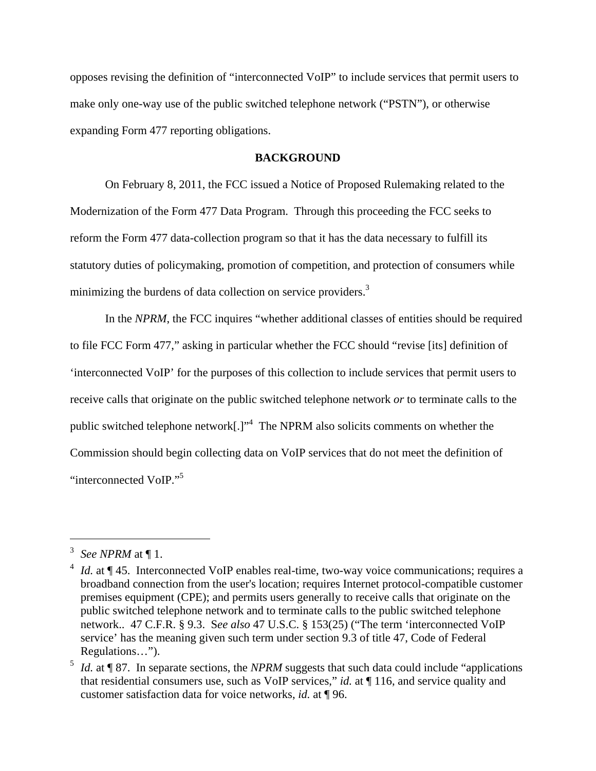opposes revising the definition of "interconnected VoIP" to include services that permit users to make only one-way use of the public switched telephone network ("PSTN"), or otherwise expanding Form 477 reporting obligations.

#### **BACKGROUND**

On February 8, 2011, the FCC issued a Notice of Proposed Rulemaking related to the Modernization of the Form 477 Data Program. Through this proceeding the FCC seeks to reform the Form 477 data-collection program so that it has the data necessary to fulfill its statutory duties of policymaking, promotion of competition, and protection of consumers while minimizing the burdens of data collection on service providers.<sup>3</sup>

 In the *NPRM*, the FCC inquires "whether additional classes of entities should be required to file FCC Form 477," asking in particular whether the FCC should "revise [its] definition of 'interconnected VoIP' for the purposes of this collection to include services that permit users to receive calls that originate on the public switched telephone network *or* to terminate calls to the public switched telephone network[.]"<sup>4</sup> The NPRM also solicits comments on whether the Commission should begin collecting data on VoIP services that do not meet the definition of "interconnected VoIP."<sup>5</sup>

<sup>3</sup> *See NPRM* at ¶ 1.

<sup>4</sup> *Id.* at ¶ 45. Interconnected VoIP enables real-time, two-way voice communications; requires a broadband connection from the user's location; requires Internet protocol-compatible customer premises equipment (CPE); and permits users generally to receive calls that originate on the public switched telephone network and to terminate calls to the public switched telephone network.. 47 C.F.R. § 9.3. S*ee also* 47 U.S.C. § 153(25) ("The term 'interconnected VoIP service' has the meaning given such term under section 9.3 of title 47, Code of Federal Regulations…").

<sup>5</sup> *Id.* at ¶ 87. In separate sections, the *NPRM* suggests that such data could include "applications that residential consumers use, such as VoIP services," *id.* at ¶ 116, and service quality and customer satisfaction data for voice networks, *id.* at ¶ 96.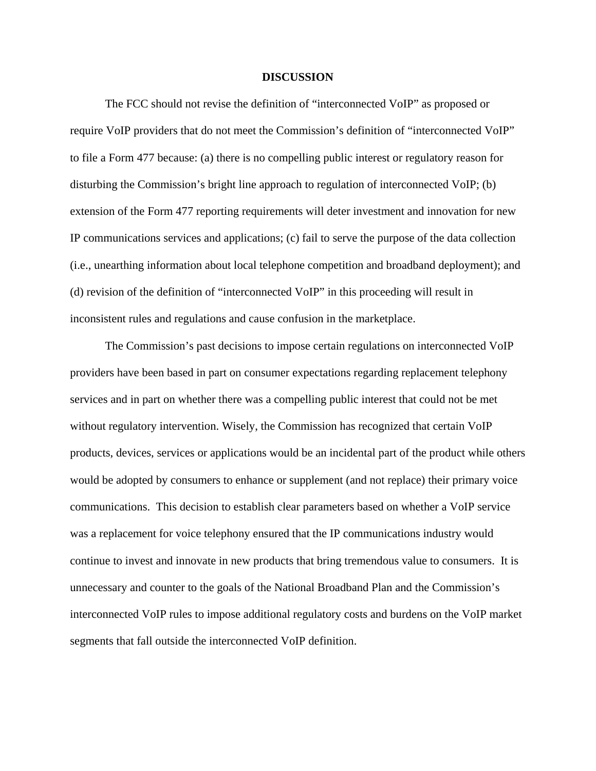#### **DISCUSSION**

 The FCC should not revise the definition of "interconnected VoIP" as proposed or require VoIP providers that do not meet the Commission's definition of "interconnected VoIP" to file a Form 477 because: (a) there is no compelling public interest or regulatory reason for disturbing the Commission's bright line approach to regulation of interconnected VoIP; (b) extension of the Form 477 reporting requirements will deter investment and innovation for new IP communications services and applications; (c) fail to serve the purpose of the data collection (i.e., unearthing information about local telephone competition and broadband deployment); and (d) revision of the definition of "interconnected VoIP" in this proceeding will result in inconsistent rules and regulations and cause confusion in the marketplace.

 The Commission's past decisions to impose certain regulations on interconnected VoIP providers have been based in part on consumer expectations regarding replacement telephony services and in part on whether there was a compelling public interest that could not be met without regulatory intervention. Wisely, the Commission has recognized that certain VoIP products, devices, services or applications would be an incidental part of the product while others would be adopted by consumers to enhance or supplement (and not replace) their primary voice communications. This decision to establish clear parameters based on whether a VoIP service was a replacement for voice telephony ensured that the IP communications industry would continue to invest and innovate in new products that bring tremendous value to consumers. It is unnecessary and counter to the goals of the National Broadband Plan and the Commission's interconnected VoIP rules to impose additional regulatory costs and burdens on the VoIP market segments that fall outside the interconnected VoIP definition.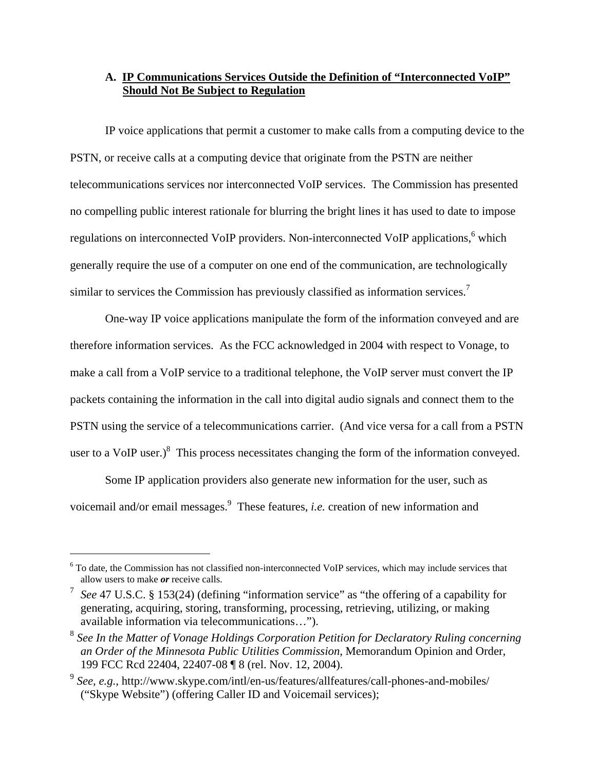## **A. IP Communications Services Outside the Definition of "Interconnected VoIP" Should Not Be Subject to Regulation**

 IP voice applications that permit a customer to make calls from a computing device to the PSTN, or receive calls at a computing device that originate from the PSTN are neither telecommunications services nor interconnected VoIP services. The Commission has presented no compelling public interest rationale for blurring the bright lines it has used to date to impose regulations on interconnected VoIP providers. Non-interconnected VoIP applications, <sup>6</sup> which generally require the use of a computer on one end of the communication, are technologically similar to services the Commission has previously classified as information services.<sup>7</sup>

One-way IP voice applications manipulate the form of the information conveyed and are therefore information services. As the FCC acknowledged in 2004 with respect to Vonage, to make a call from a VoIP service to a traditional telephone, the VoIP server must convert the IP packets containing the information in the call into digital audio signals and connect them to the PSTN using the service of a telecommunications carrier. (And vice versa for a call from a PSTN user to a VoIP user.) $\delta$  This process necessitates changing the form of the information conveyed.

 Some IP application providers also generate new information for the user, such as voicemail and/or email messages.<sup>9</sup> These features, *i.e.* creation of new information and

<sup>&</sup>lt;sup>6</sup> To date, the Commission has not classified non-interconnected VoIP services, which may include services that allow users to make *or* receive calls.

<sup>7</sup> *See* 47 U.S.C. § 153(24) (defining "information service" as "the offering of a capability for generating, acquiring, storing, transforming, processing, retrieving, utilizing, or making available information via telecommunications…").

<sup>8</sup> *See In the Matter of Vonage Holdings Corporation Petition for Declaratory Ruling concerning an Order of the Minnesota Public Utilities Commission*, Memorandum Opinion and Order, 199 FCC Rcd 22404, 22407-08 ¶ 8 (rel. Nov. 12, 2004).

<sup>9</sup> *See, e.g.,* http://www.skype.com/intl/en-us/features/allfeatures/call-phones-and-mobiles/ ("Skype Website") (offering Caller ID and Voicemail services);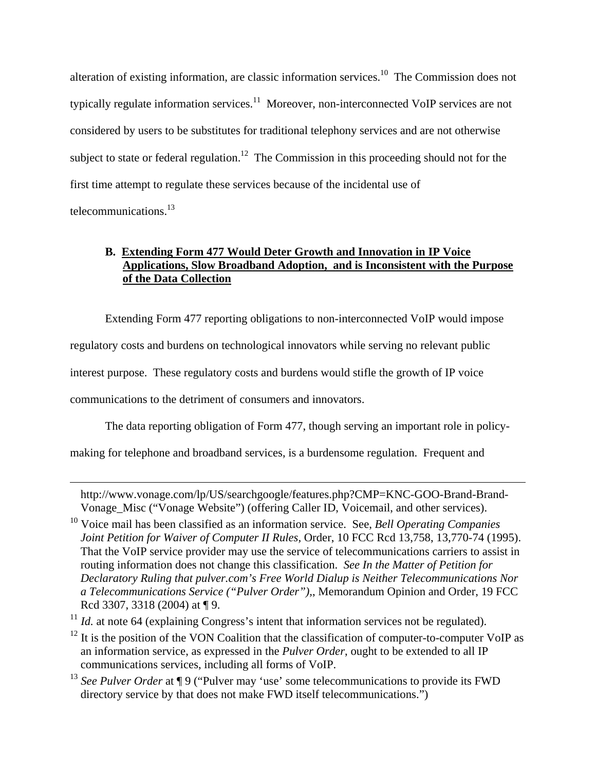alteration of existing information, are classic information services.<sup>10</sup> The Commission does not typically regulate information services.<sup>11</sup> Moreover, non-interconnected VoIP services are not considered by users to be substitutes for traditional telephony services and are not otherwise subject to state or federal regulation.<sup>12</sup> The Commission in this proceeding should not for the first time attempt to regulate these services because of the incidental use of telecommunications.13

# **B. Extending Form 477 Would Deter Growth and Innovation in IP Voice Applications, Slow Broadband Adoption, and is Inconsistent with the Purpose of the Data Collection**

 Extending Form 477 reporting obligations to non-interconnected VoIP would impose regulatory costs and burdens on technological innovators while serving no relevant public interest purpose. These regulatory costs and burdens would stifle the growth of IP voice communications to the detriment of consumers and innovators.

The data reporting obligation of Form 477, though serving an important role in policy-

making for telephone and broadband services, is a burdensome regulation. Frequent and

 $\overline{a}$ 

<sup>13</sup> *See Pulver Order* at ¶ 9 ("Pulver may 'use' some telecommunications to provide its FWD directory service by that does not make FWD itself telecommunications.")

http://www.vonage.com/lp/US/searchgoogle/features.php?CMP=KNC-GOO-Brand-Brand-Vonage\_Misc ("Vonage Website") (offering Caller ID, Voicemail, and other services).

<sup>10</sup> Voice mail has been classified as an information service. See, *Bell Operating Companies Joint Petition for Waiver of Computer II Rules, Order, 10 FCC Rcd 13,758, 13,770-74 (1995).* That the VoIP service provider may use the service of telecommunications carriers to assist in routing information does not change this classification. *See In the Matter of Petition for Declaratory Ruling that pulver.com's Free World Dialup is Neither Telecommunications Nor a Telecommunications Service ("Pulver Order"),*, Memorandum Opinion and Order, 19 FCC Rcd 3307, 3318 (2004) at ¶ 9.

 $11$  *Id.* at note 64 (explaining Congress's intent that information services not be regulated).

 $12$  It is the position of the VON Coalition that the classification of computer-to-computer VoIP as an information service, as expressed in the *Pulver Order*, ought to be extended to all IP communications services, including all forms of VoIP.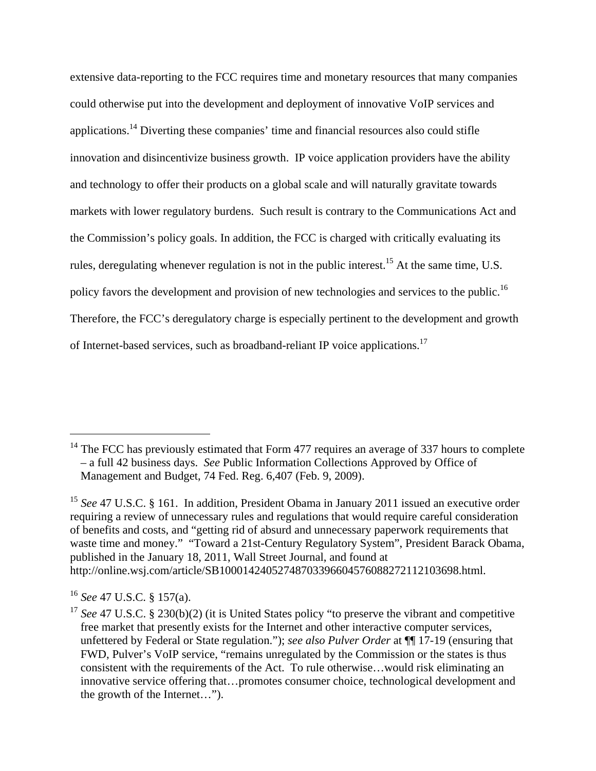extensive data-reporting to the FCC requires time and monetary resources that many companies could otherwise put into the development and deployment of innovative VoIP services and applications.14 Diverting these companies' time and financial resources also could stifle innovation and disincentivize business growth. IP voice application providers have the ability and technology to offer their products on a global scale and will naturally gravitate towards markets with lower regulatory burdens. Such result is contrary to the Communications Act and the Commission's policy goals. In addition, the FCC is charged with critically evaluating its rules, deregulating whenever regulation is not in the public interest.<sup>15</sup> At the same time, U.S. policy favors the development and provision of new technologies and services to the public.<sup>16</sup> Therefore, the FCC's deregulatory charge is especially pertinent to the development and growth of Internet-based services, such as broadband-reliant IP voice applications.17

 $14$  The FCC has previously estimated that Form 477 requires an average of 337 hours to complete – a full 42 business days. *See* Public Information Collections Approved by Office of Management and Budget, 74 Fed. Reg. 6,407 (Feb. 9, 2009).

<sup>&</sup>lt;sup>15</sup> See 47 U.S.C. § 161. In addition, President Obama in January 2011 issued an executive order requiring a review of unnecessary rules and regulations that would require careful consideration of benefits and costs, and "getting rid of absurd and unnecessary paperwork requirements that waste time and money." "Toward a 21st-Century Regulatory System", President Barack Obama, published in the January 18, 2011, Wall Street Journal, and found at http://online.wsj.com/article/SB10001424052748703396604576088272112103698.html.

<sup>16</sup> *See* 47 U.S.C. § 157(a).

<sup>&</sup>lt;sup>17</sup> See 47 U.S.C. § 230(b)(2) (it is United States policy "to preserve the vibrant and competitive free market that presently exists for the Internet and other interactive computer services, unfettered by Federal or State regulation."); *see also Pulver Order* at ¶¶ 17-19 (ensuring that FWD, Pulver's VoIP service, "remains unregulated by the Commission or the states is thus consistent with the requirements of the Act. To rule otherwise…would risk eliminating an innovative service offering that…promotes consumer choice, technological development and the growth of the Internet…").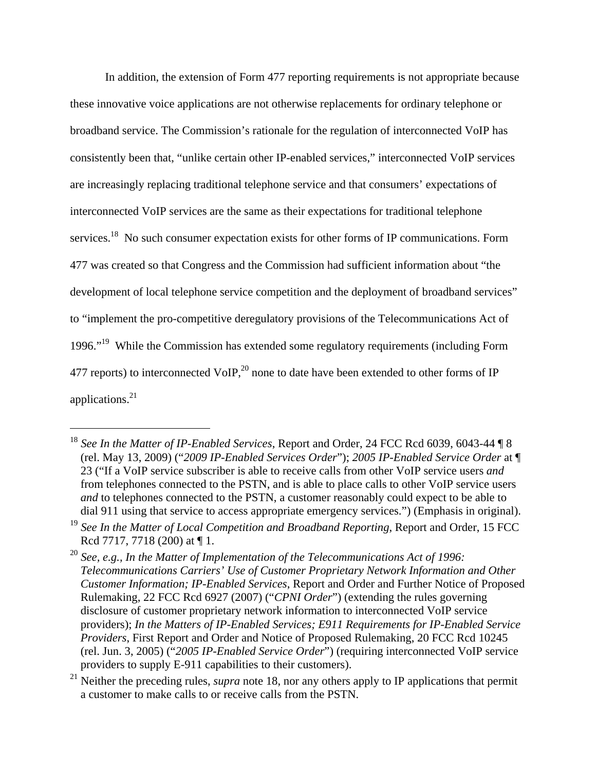In addition, the extension of Form 477 reporting requirements is not appropriate because these innovative voice applications are not otherwise replacements for ordinary telephone or broadband service. The Commission's rationale for the regulation of interconnected VoIP has consistently been that, "unlike certain other IP-enabled services," interconnected VoIP services are increasingly replacing traditional telephone service and that consumers' expectations of interconnected VoIP services are the same as their expectations for traditional telephone services.<sup>18</sup> No such consumer expectation exists for other forms of IP communications. Form 477 was created so that Congress and the Commission had sufficient information about "the development of local telephone service competition and the deployment of broadband services" to "implement the pro-competitive deregulatory provisions of the Telecommunications Act of 1996."19 While the Commission has extended some regulatory requirements (including Form 477 reports) to interconnected VoIP, $^{20}$  none to date have been extended to other forms of IP applications.21

<sup>18</sup> *See In the Matter of IP-Enabled Services*, Report and Order, 24 FCC Rcd 6039, 6043-44 ¶ 8 (rel. May 13, 2009) ("*2009 IP-Enabled Services Order*"); *2005 IP-Enabled Service Order* at ¶ 23 ("If a VoIP service subscriber is able to receive calls from other VoIP service users *and* from telephones connected to the PSTN, and is able to place calls to other VoIP service users *and* to telephones connected to the PSTN, a customer reasonably could expect to be able to dial 911 using that service to access appropriate emergency services.") (Emphasis in original).

<sup>&</sup>lt;sup>19</sup> See In the Matter of Local Competition and Broadband Reporting, Report and Order, 15 FCC Rcd 7717, 7718 (200) at ¶ 1.

<sup>20</sup> *See, e.g., In the Matter of Implementation of the Telecommunications Act of 1996: Telecommunications Carriers' Use of Customer Proprietary Network Information and Other Customer Information; IP-Enabled Services*, Report and Order and Further Notice of Proposed Rulemaking, 22 FCC Rcd 6927 (2007) ("*CPNI Order*") (extending the rules governing disclosure of customer proprietary network information to interconnected VoIP service providers); *In the Matters of IP-Enabled Services; E911 Requirements for IP-Enabled Service Providers*, First Report and Order and Notice of Proposed Rulemaking, 20 FCC Rcd 10245 (rel. Jun. 3, 2005) ("*2005 IP-Enabled Service Order*") (requiring interconnected VoIP service providers to supply E-911 capabilities to their customers).

<sup>&</sup>lt;sup>21</sup> Neither the preceding rules, *supra* note 18, nor any others apply to IP applications that permit a customer to make calls to or receive calls from the PSTN.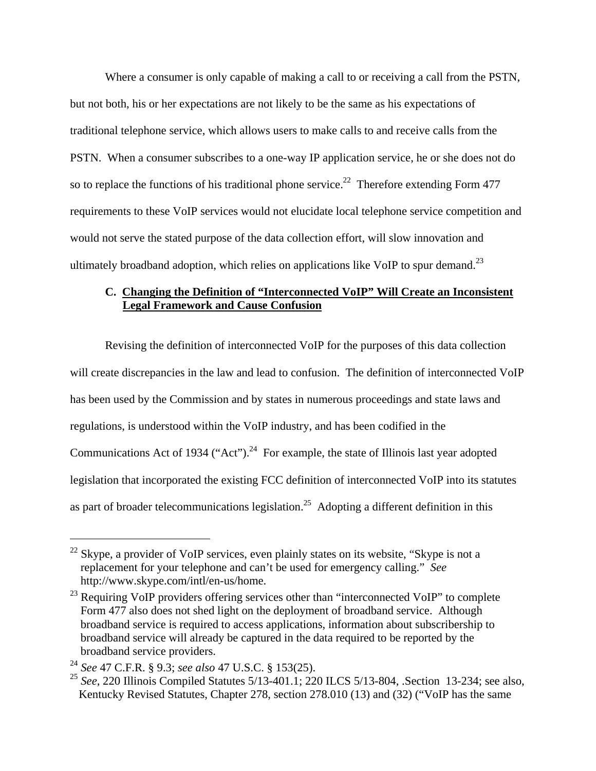Where a consumer is only capable of making a call to or receiving a call from the PSTN, but not both, his or her expectations are not likely to be the same as his expectations of traditional telephone service, which allows users to make calls to and receive calls from the PSTN. When a consumer subscribes to a one-way IP application service, he or she does not do so to replace the functions of his traditional phone service.<sup>22</sup> Therefore extending Form 477 requirements to these VoIP services would not elucidate local telephone service competition and would not serve the stated purpose of the data collection effort, will slow innovation and ultimately broadband adoption, which relies on applications like VoIP to spur demand.<sup>23</sup>

## **C. Changing the Definition of "Interconnected VoIP" Will Create an Inconsistent Legal Framework and Cause Confusion**

Revising the definition of interconnected VoIP for the purposes of this data collection will create discrepancies in the law and lead to confusion. The definition of interconnected VoIP has been used by the Commission and by states in numerous proceedings and state laws and regulations, is understood within the VoIP industry, and has been codified in the Communications Act of 1934 ("Act").<sup>24</sup> For example, the state of Illinois last year adopted legislation that incorporated the existing FCC definition of interconnected VoIP into its statutes as part of broader telecommunications legislation.<sup>25</sup> Adopting a different definition in this

 $^{22}$  Skype, a provider of VoIP services, even plainly states on its website, "Skype is not a replacement for your telephone and can't be used for emergency calling." *See*  http://www.skype.com/intl/en-us/home.

<sup>&</sup>lt;sup>23</sup> Requiring VoIP providers offering services other than "interconnected VoIP" to complete Form 477 also does not shed light on the deployment of broadband service. Although broadband service is required to access applications, information about subscribership to broadband service will already be captured in the data required to be reported by the broadband service providers.

<sup>24</sup> *See* 47 C.F.R. § 9.3; *see also* 47 U.S.C. § 153(25).

<sup>25</sup> *See*, 220 Illinois Compiled Statutes 5/13-401.1; 220 ILCS 5/13-804, .Section 13-234; see also, Kentucky Revised Statutes, Chapter 278, section 278.010 (13) and (32) ("VoIP has the same